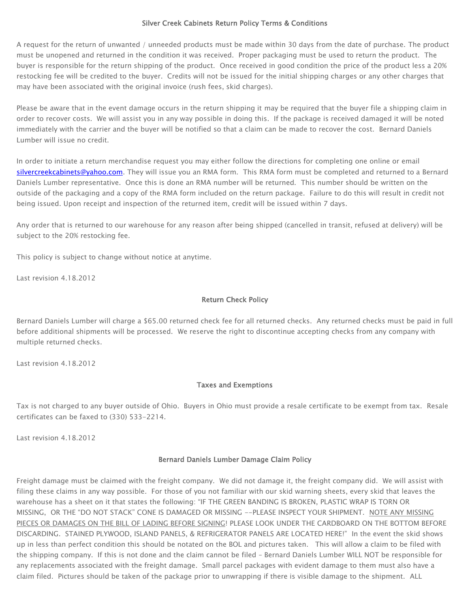## Silver Creek Cabinets Return Policy Terms & Conditions

A request for the return of unwanted / unneeded products must be made within 30 days from the date of purchase. The product must be unopened and returned in the condition it was received. Proper packaging must be used to return the product. The buyer is responsible for the return shipping of the product. Once received in good condition the price of the product less a 20% restocking fee will be credited to the buyer. Credits will not be issued for the initial shipping charges or any other charges that may have been associated with the original invoice (rush fees, skid charges).

Please be aware that in the event damage occurs in the return shipping it may be required that the buyer file a shipping claim in order to recover costs. We will assist you in any way possible in doing this. If the package is received damaged it will be noted immediately with the carrier and the buyer will be notified so that a claim can be made to recover the cost. Bernard Daniels Lumber will issue no credit.

In order to initiate a return merchandise request you may either follow the directions for completing one online or email [silvercreekcabinets@yahoo.com.](mailto:silvercreekcabinets@yahoo.com) They will issue you an RMA form. This RMA form must be completed and returned to a Bernard Daniels Lumber representative. Once this is done an RMA number will be returned. This number should be written on the outside of the packaging and a copy of the RMA form included on the return package. Failure to do this will result in credit not being issued. Upon receipt and inspection of the returned item, credit will be issued within 7 days.

Any order that is returned to our warehouse for any reason after being shipped (cancelled in transit, refused at delivery) will be subject to the 20% restocking fee.

This policy is subject to change without notice at anytime.

Last revision 4.18.2012

## Return Check Policy

Bernard Daniels Lumber will charge a \$65.00 returned check fee for all returned checks. Any returned checks must be paid in full before additional shipments will be processed. We reserve the right to discontinue accepting checks from any company with multiple returned checks.

Last revision 4.18.2012

## Taxes and Exemptions

Tax is not charged to any buyer outside of Ohio. Buyers in Ohio must provide a resale certificate to be exempt from tax. Resale certificates can be faxed to (330) 533-2214.

Last revision 4.18.2012

## Bernard Daniels Lumber Damage Claim Policy

Freight damage must be claimed with the freight company. We did not damage it, the freight company did. We will assist with filing these claims in any way possible. For those of you not familiar with our skid warning sheets, every skid that leaves the warehouse has a sheet on it that states the following: "IF THE GREEN BANDING IS BROKEN, PLASTIC WRAP IS TORN OR MISSING, OR THE "DO NOT STACK" CONE IS DAMAGED OR MISSING --PLEASE INSPECT YOUR SHIPMENT. NOTE ANY MISSING PIECES OR DAMAGES ON THE BILL OF LADING BEFORE SIGNING! PLEASE LOOK UNDER THE CARDBOARD ON THE BOTTOM BEFORE DISCARDING. STAINED PLYWOOD, ISLAND PANELS, & REFRIGERATOR PANELS ARE LOCATED HERE!" In the event the skid shows up in less than perfect condition this should be notated on the BOL and pictures taken. This will allow a claim to be filed with the shipping company. If this is not done and the claim cannot be filed – Bernard Daniels Lumber WILL NOT be responsible for any replacements associated with the freight damage. Small parcel packages with evident damage to them must also have a claim filed. Pictures should be taken of the package prior to unwrapping if there is visible damage to the shipment. ALL